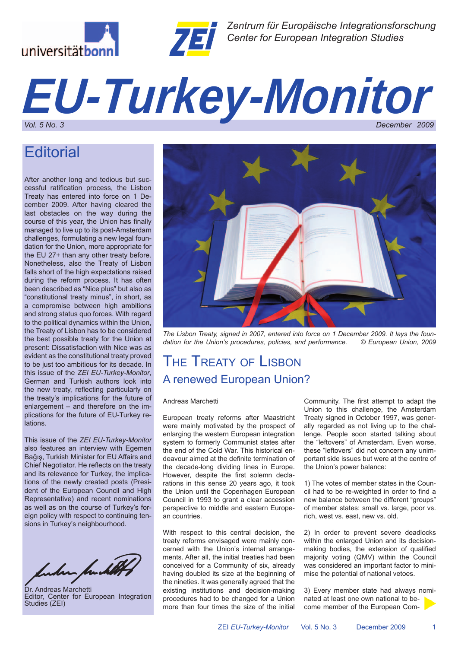



*Zentrum für Europäische Integrationsforschung Center for European Integration Studies*

# *EU-Turkey-Monitor Vol. 5 No. 3 December 2009*

# **Editorial**

After another long and tedious but successful ratification process, the Lisbon Treaty has entered into force on 1 December 2009. After having cleared the last obstacles on the way during the course of this year, the Union has finally managed to live up to its post-Amsterdam challenges, formulating a new legal foundation for the Union, more appropriate for the EU 27+ than any other treaty before. Nonetheless, also the Treaty of Lisbon falls short of the high expectations raised during the reform process. It has often been described as "Nice plus" but also as "constitutional treaty minus", in short, as a compromise between high ambitions and strong status quo forces. With regard to the political dynamics within the Union, the Treaty of Lisbon has to be considered the best possible treaty for the Union at present: Dissatisfaction with Nice was as evident as the constitutional treaty proved to be just too ambitious for its decade. In this issue of the *ZEI EU-Turkey-Monitor*, German and Turkish authors look into the new treaty, reflecting particularly on the treaty's implications for the future of enlargement – and therefore on the implications for the future of EU-Turkey relations.

This issue of the *ZEI EU-Turkey-Monitor* also features an interview with Egemen Bağış, Turkish Minister for EU Affairs and Chief Negotiator. He reflects on the treaty and its relevance for Turkey, the implications of the newly created posts (President of the European Council and High Representative) and recent nominations as well as on the course of Turkey's foreign policy with respect to continuing tensions in Turkey's neighbourhood.

buhu fu hat

Dr. Andreas Marchetti Editor, Center for European Integration Studies (ZEI)



*The Lisbon Treaty, signed in 2007, entered into force on 1 December 2009. It lays the foundation for the Union's procedures, policies, and performance. © European Union, 2009*

### THE TREATY OF LISBON A renewed European Union?

#### Andreas Marchetti

European treaty reforms after Maastricht were mainly motivated by the prospect of enlarging the western European integration system to formerly Communist states after the end of the Cold War. This historical endeavour aimed at the definite termination of the decade-long dividing lines in Europe. However, despite the first solemn declarations in this sense 20 years ago, it took the Union until the Copenhagen European Council in 1993 to grant a clear accession perspective to middle and eastern European countries.

With respect to this central decision, the treaty reforms envisaged were mainly concerned with the Union's internal arrangements. After all, the initial treaties had been conceived for a Community of six, already having doubled its size at the beginning of the nineties. It was generally agreed that the existing institutions and decision-making procedures had to be changed for a Union more than four times the size of the initial

Community. The first attempt to adapt the Union to this challenge, the Amsterdam Treaty signed in October 1997, was generally regarded as not living up to the challenge. People soon started talking about the "leftovers" of Amsterdam. Even worse, these "leftovers" did not concern any unimportant side issues but were at the centre of the Union's power balance:

1) The votes of member states in the Council had to be re-weighted in order to find a new balance between the different "groups" of member states: small vs. large, poor vs. rich, west vs. east, new vs. old.

2) In order to prevent severe deadlocks within the enlarged Union and its decisionmaking bodies, the extension of qualified majority voting (QMV) within the Council was considered an important factor to minimise the potential of national vetoes.

3) Every member state had always nominated at least one own national to become member of the European Com-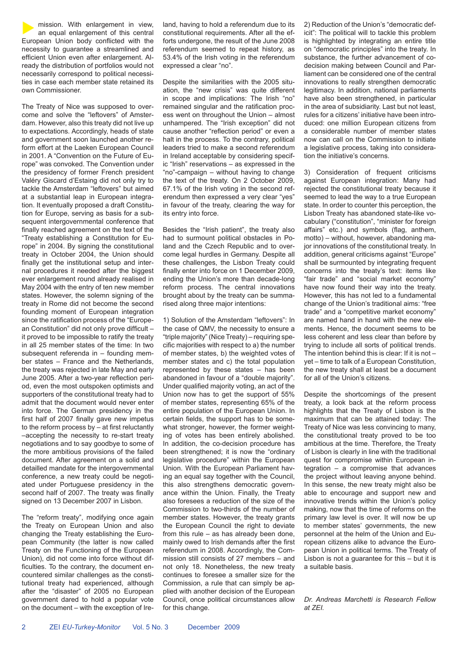mission. With enlargement in view, an equal enlargement of this central European Union body conflicted with the necessity to guarantee a streamlined and efficient Union even after enlargement. Already the distribution of portfolios would not necessarily correspond to political necessities in case each member state retained its own Commissioner.

The Treaty of Nice was supposed to overcome and solve the "leftovers" of Amsterdam. However, also this treaty did not live up to expectations. Accordingly, heads of state and government soon launched another reform effort at the Laeken European Council in 2001. A "Convention on the Future of Europe" was convoked. The Convention under the presidency of former French president Valéry Giscard d'Estaing did not only try to tackle the Amsterdam "leftovers" but aimed at a substantial leap in European integration. It eventually proposed a draft Constitution for Europe, serving as basis for a subsequent intergovernmental conference that finally reached agreement on the text of the "Treaty establishing a Constitution for Europe" in 2004. By signing the constitutional treaty in October 2004, the Union should finally get the institutional setup and internal procedures it needed after the biggest ever enlargement round already realised in May 2004 with the entry of ten new member states. However, the solemn signing of the treaty in Rome did not become the second founding moment of European integration since the ratification process of the "European Constitution" did not only prove difficult  $$ it proved to be impossible to ratify the treaty in all 25 member states of the time: In two subsequent referenda in – founding member states – France and the Netherlands, the treaty was rejected in late May and early June 2005. After a two-year reflection period, even the most outspoken optimists and supporters of the constitutional treaty had to admit that the document would never enter into force. The German presidency in the first half of 2007 finally gave new impetus to the reform process by  $-$  at first reluctantly –accepting the necessity to re-start treaty negotiations and to say goodbye to some of the more ambitious provisions of the failed document. After agreement on a solid and detailled mandate for the intergovernmental conference, a new treaty could be negotiated under Portuguese presidency in the second half of 2007. The treaty was finally signed on 13 December 2007 in Lisbon.

The "reform treaty", modifying once again the Treaty on European Union and also changing the Treaty establishing the European Community (the latter is now called Treaty on the Functioning of the European Union), did not come into force without difficulties. To the contrary, the document encountered similar challenges as the constitutional treaty had experienced, although after the "disaster" of 2005 no European government dared to hold a popular vote on the document – with the exception of Ireland, having to hold a referendum due to its constitutional requirements. After all the efforts undergone, the result of the June 2008 referendum seemed to repeat history, as 53.4% of the Irish voting in the referendum expressed a clear "no".

Despite the similarities with the 2005 situation, the "new crisis" was quite different in scope and implications: The Irish "no" remained singular and the ratification process went on throughout the Union – almost unhampered. The "Irish exception" did not cause another "reflection period" or even a halt in the process. To the contrary, political leaders tried to make a second referendum in Ireland acceptable by considering specific "Irish" reservations – as expressed in the "no"-campaign – without having to change the text of the treaty. On 2 October 2009, 67.1% of the Irish voting in the second referendum then expressed a very clear "yes" in favour of the treaty, clearing the way for its entry into force.

Besides the "Irish patient", the treaty also had to surmount political obstacles in Poland and the Czech Republic and to overcome legal hurdles in Germany. Despite all these challenges, the Lisbon Treaty could finally enter into force on 1 December 2009, ending the Union's more than decade-long reform process. The central innovations brought about by the treaty can be summarised along three major intentions:

1) Solution of the Amsterdam "leftovers": In the case of QMV, the necessity to ensure a "triple majority" (Nice Treaty) – requiring specific majorities with respect to a) the number of member states, b) the weighted votes of member states and c) the total population represented by these states – has been abandoned in favour of a "double majority". Under qualified majority voting, an act of the Union now has to get the support of 55% of member states, representing 65% of the entire population of the European Union. In certain fields, the support has to be somewhat stronger, however, the former weighting of votes has been entirely abolished. In addition, the co-decision procedure has been strengthened; it is now the "ordinary legislative procedure" within the European Union. With the European Parliament having an equal say together with the Council, this also strengthens democratic governance within the Union. Finally, the Treaty also foresees a reduction of the size of the Commission to two-thirds of the number of member states. However, the treaty grants the European Council the right to deviate from this rule – as has already been done, mainly owed to Irish demands after the first referendum in 2008. Accordingly, the Commission still consists of 27 members – and not only 18. Nonetheless, the new treaty continues to foresee a smaller size for the Commission, a rule that can simply be applied with another decision of the European Council, once political circumstances allow for this change.

2) Reduction of the Union's "democratic deficit": The political will to tackle this problem is highlighted by integrating an entire title on "democratic principles" into the treaty. In substance, the further advancement of codecision making between Council and Parliament can be considered one of the central innovations to really strengthen democratic legitimacy. In addition, national parliaments have also been strengthened, in particular in the area of subsidiarity. Last but not least, rules for a citizens' initiative have been introduced: one million European citizens from a considerable number of member states now can call on the Commission to initiate a legislative process, taking into consideration the initiative's concerns.

3) Consideration of frequent criticisms against European integration: Many had rejected the constitutional treaty because it seemed to lead the way to a true European state. In order to counter this perception, the Lisbon Treaty has abandoned state-like vocabulary ("constitution", "minister for foreign affairs" etc.) and symbols (flag, anthem, motto) – without, however, abandoning major innovations of the constitutional treaty. In addition, general criticisms against "Europe" shall be surmounted by integrating frequent concerns into the treaty's text: items like "fair trade" and "social market economy" have now found their way into the treaty. However, this has not led to a fundamental change of the Union's traditional aims: "free trade" and a "competitive market economy" are named hand in hand with the new elements. Hence, the document seems to be less coherent and less clear than before by trying to include all sorts of political trends. The intention behind this is clear: If it is not – yet – time to talk of a European Constitution, the new treaty shall at least be a document for all of the Union's citizens.

Despite the shortcomings of the present treaty, a look back at the reform process highlights that the Treaty of Lisbon is the maximum that can be attained today: The Treaty of Nice was less convincing to many, the constitutional treaty proved to be too ambitious at the time. Therefore, the Treaty of Lisbon is clearly in line with the traditional quest for compromise within European integration – a compromise that advances the project without leaving anyone behind. In this sense, the new treaty might also be able to encourage and support new and innovative trends within the Union's policy making, now that the time of reforms on the primary law level is over. It will now be up to member states' governments, the new personnel at the helm of the Union and European citizens alike to advance the European Union in political terms. The Treaty of Lisbon is not a guarantee for this – but it is a suitable basis.

*Dr. Andreas Marchetti is Research Fellow at ZEI.*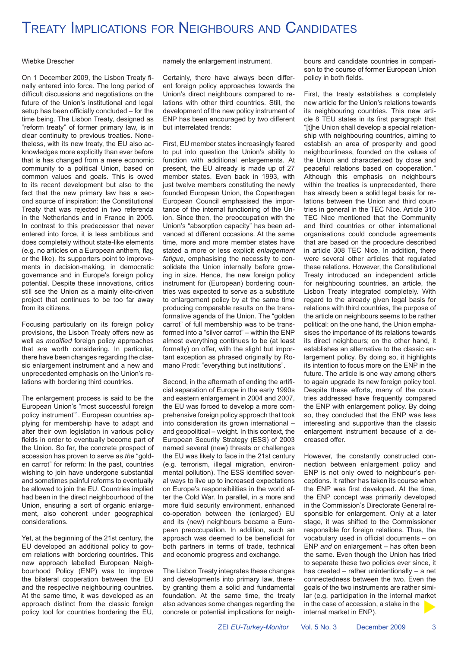### TREATY IMPLICATIONS FOR NEIGHBOURS AND CANDIDATES

#### Wiebke Drescher

On 1 December 2009, the Lisbon Treaty finally entered into force. The long period of difficult discussions and negotiations on the future of the Union's institutional and legal setup has been officially concluded – for the time being. The Lisbon Treaty, designed as "reform treaty" of former primary law, is in clear continuity to previous treaties. Nonetheless, with its new treaty, the EU also acknowledges more explicitly than ever before that is has changed from a mere economic community to a political Union, based on common values and goals. This is owed to its recent development but also to the fact that the new primary law has a second source of inspiration: the Constitutional Treaty that was rejected in two referenda in the Netherlands and in France in 2005. In contrast to this predecessor that never entered into force, it is less ambitious and does completely without state-like elements (e.g. no articles on a European anthem, flag or the like). Its supporters point to improvements in decision-making, in democratic governance and in Europe's foreign policy potential. Despite these innovations, critics still see the Union as a mainly elite-driven project that continues to be too far away from its citizens.

Focusing particularly on its foreign policy provisions, the Lisbon Treaty offers new as well as *modified* foreign policy approaches that are worth considering. In particular, there have been changes regarding the classic enlargement instrument and a new and unprecedented emphasis on the Union's relations with bordering third countries.

The enlargement process is said to be the European Union's "most successful foreign policy instrument"1 . European countries applying for membership have to adapt and alter their own legislation in various policy fields in order to eventually become part of the Union. So far, the concrete prospect of accession has proven to serve as *the* "golden carrot" for reform: In the past, countries wishing to join have undergone substantial and sometimes painful reforms to eventually be allowed to join the EU. Countries implied had been in the direct neighbourhood of the Union, ensuring a sort of organic enlargement, also coherent under geographical considerations.

Yet, at the beginning of the 21st century, the EU developed an additional policy to govern relations with bordering countries. This new approach labelled European Neighbourhood Policy (ENP) was to improve the bilateral cooperation between the EU and the respective neighbouring countries. At the same time, it was developed as an approach distinct from the classic foreign policy tool for countries bordering the EU, namely the enlargement instrument.

Certainly, there have always been different foreign policy approaches towards the Union's direct neighbours compared to relations with other third countries. Still, the development of the new policy instrument of ENP has been encouraged by two different but interrelated trends:

First, EU member states increasingly feared to put into question the Union's ability to function with additional enlargements. At present, the EU already is made up of 27 member states. Even back in 1993, with just twelve members constituting the newly founded European Union, the Copenhagen European Council emphasised the importance of the internal functioning of the Union. Since then, the preoccupation with the Union's "absorption capacity" has been advanced at different occasions. At the same time, more and more member states have stated a more or less explicit *enlargement fatigue*, emphasising the necessity to consolidate the Union internally before growing in size. Hence, the new foreign policy instrument for (European) bordering countries was expected to serve as a substitute to enlargement policy by at the same time producing comparable results on the transformative agenda of the Union. The "golden carrot" of full membership was to be transformed into a "silver carrot" – within the ENP almost everything continues to be (at least formally) on offer, with the slight but important exception as phrased originally by Romano Prodi: "everything but institutions".

Second, in the aftermath of ending the artificial separation of Europe in the early 1990s and eastern enlargement in 2004 and 2007, the EU was forced to develop a more comprehensive foreign policy approach that took into consideration its grown international – and geopolitical – weight. In this context, the European Security Strategy (ESS) of 2003 named several (new) threats or challenges the EU was likely to face in the 21st century (e.g. terrorism, illegal migration, environmental pollution). The ESS identified several ways to live up to increased expectations on Europe's responsibilities in the world after the Cold War. In parallel, in a more and more fluid security environment, enhanced co-operation between the (enlarged) EU and its (new) neighbours became a European preoccupation. In addition, such an approach was deemed to be beneficial for both partners in terms of trade, technical and economic progress and exchange.

The Lisbon Treaty integrates these changes and developments into primary law, thereby granting them a solid and fundamental foundation. At the same time, the treaty also advances some changes regarding the concrete or potential implications for neighbours and candidate countries in comparison to the course of former European Union policy in both fields.

First, the treaty establishes a completely new article for the Union's relations towards its neighbouring countries. This new article 8 TEU states in its first paragraph that "[t]he Union shall develop a special relationship with neighbouring countries, aiming to establish an area of prosperity and good neighbourliness, founded on the values of the Union and characterized by close and peaceful relations based on cooperation." Although this emphasis on neighbours within the treaties is unprecedented, there has already been a solid legal basis for relations between the Union and third countries in general in the TEC Nice. Article 310 TEC Nice mentioned that the Community and third countries or other international organisations could conclude agreements that are based on the procedure described in article 308 TEC Nice. In addition, there were several other articles that regulated these relations. However, the Constitutional Treaty introduced an independent article for neighbouring countries, an article, the Lisbon Treaty integrated completely. With regard to the already given legal basis for relations with third countries, the purpose of the article on neighbours seems to be rather political: on the one hand, the Union emphasises the importance of its relations towards its direct neighbours; on the other hand, it establishes an alternative to the classic enlargement policy. By doing so, it highlights its intention to focus more on the ENP in the future. The article is one way among others to again upgrade its new foreign policy tool. Despite these efforts, many of the countries addressed have frequently compared the ENP with enlargement policy. By doing so, they concluded that the ENP was less interesting and supportive than the classic enlargement instrument because of a decreased offer.

However, the constantly constructed connection between enlargement policy and ENP is not only owed to neighbour's perceptions. It rather has taken its course when the ENP was first developed. At the time, the ENP concept was primarily developed in the Commission's Directorate General responsible for enlargement. Only at a later stage, it was shifted to the Commissioner responsible for foreign relations. Thus, the vocabulary used in official documents  $-$  on ENP *and* on enlargement – has often been the same. Even though the Union has tried to separate these two policies ever since, it has created – rather unintentionally – a net connectedness between the two. Even the goals of the two instruments are rather similar (e.g. participation in the internal market in the case of accession, a stake in the internal market in ENP).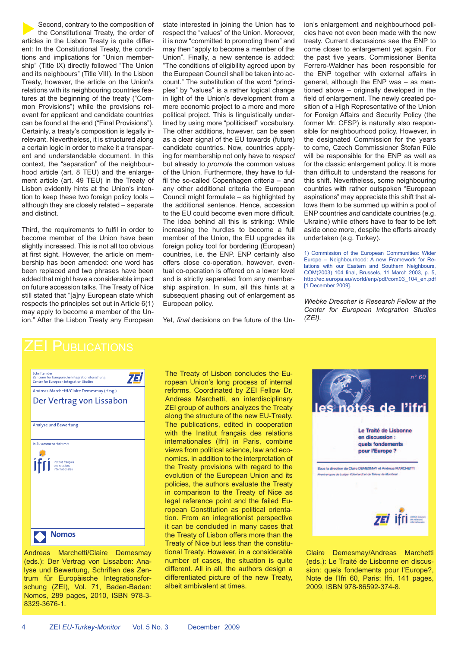Second, contrary to the composition of the Constitutional Treaty, the order of articles in the Lisbon Treaty is quite different: In the Constitutional Treaty, the conditions and implications for "Union membership" (Title IX) directly followed "The Union and its neighbours" (Title VIII). In the Lisbon Treaty, however, the article on the Union's relations with its neighbouring countries features at the beginning of the treaty ("Common Provisions") while the provisions relevant for applicant and candidate countries can be found at the end ("Final Provisions"). Certainly, a treaty's composition is legally irrelevant. Nevertheless, it is structured along a certain logic in order to make it a transparent and understandable document. In this context, the "separation" of the neighbourhood article (art. 8 TEU) and the enlargement article (art. 49 TEU) in the Treaty of Lisbon evidently hints at the Union's intention to keep these two foreign policy tools – although they are closely related – separate and distinct.

Third, the requirements to fulfil in order to become member of the Union have been slightly increased. This is not all too obvious at first sight. However, the article on membership has been amended: one word has been replaced and two phrases have been added that might have a considerable impact on future accession talks. The Treaty of Nice still stated that "[a]ny European state which respects the principles set out in Article 6(1) may apply to become a member of the Union." After the Lisbon Treaty any European state interested in joining the Union has to respect the "values" of the Union. Moreover, it is now "committed to promoting them" and may then "apply to become a member of the Union". Finally, a new sentence is added: "The conditions of eligibility agreed upon by the European Council shall be taken into account." The substitution of the word "principles" by "values" is a rather logical change in light of the Union's development from a mere economic project to a more and more political project. This is linguistically underlined by using more "politicised" vocabulary. The other additions, however, can be seen as a clear signal of the EU towards (future) candidate countries. Now, countries applying for membership not only have to *respect* but already to *promote* the common values of the Union. Furthermore, they have to fulfil the so-called Copenhagen criteria  $-$  and any other additional criteria the European Council might formulate – as highlighted by the additional sentence. Hence, accession to the EU could become even more difficult. The idea behind all this is striking: While increasing the hurdles to become a full member of the Union, the EU upgrades its foreign policy tool for bordering (European) countries, i.e. the ENP. ENP certainly also offers close co-operation, however, eventual co-operation is offered on a lower level and is strictly separated from any membership aspiration. In sum, all this hints at a subsequent phasing out of enlargement as European policy.

Yet, *final* decisions on the future of the Un-

ion's enlargement and neighbourhood policies have not even been made with the new treaty. Current discussions see the ENP to come closer to enlargement yet again. For the past five years, Commissioner Benita Ferrero-Waldner has been responsible for the ENP together with external affairs in general, although the ENP was – as mentioned above – originally developed in the field of enlargement. The newly created position of a High Representative of the Union for Foreign Affairs and Security Policy (the former Mr. CFSP) is naturally also responsible for neighbourhood policy. However, in the designated Commission for the years to come, Czech Commissioner Štefan Füle will be responsible for the ENP as well as for the classic enlargement policy. It is more than difficult to understand the reasons for this shift. Nevertheless, some neighbouring countries with rather outspoken "European aspirations" may appreciate this shift that allows them to be summed up within a pool of ENP countries *and* candidate countries (e.g. Ukraine) while others have to fear to be left aside once more, despite the efforts already undertaken (e.g. Turkey).

1) Commission of the European Communities: Wider Europe – Neighbourhood: A new Framework for Relations with our Eastern and Southern Neighbours, COM(2003) 104 final, Brussels, 11 March 2003, p. 5, http://ec.europa.eu/world/enp/pdf/com03\_104\_en.pdf [1 December 2009].

*Wiebke Drescher is Research Fellow at the Center for European Integration Studies (ZEI).*

| <b>Schriften des</b><br>Zentrum für Europäische Integrationsforschung<br><b>Center for European Integration Studies</b><br>Andreas Marchetti/Claire Demesmay (Hrsg.)<br>Der Vertrag von Lissabon<br><b>Analyse und Bewertung</b><br>in Zusammenarheit mit |  |  |  |  |
|-----------------------------------------------------------------------------------------------------------------------------------------------------------------------------------------------------------------------------------------------------------|--|--|--|--|
|                                                                                                                                                                                                                                                           |  |  |  |  |
|                                                                                                                                                                                                                                                           |  |  |  |  |
|                                                                                                                                                                                                                                                           |  |  |  |  |
|                                                                                                                                                                                                                                                           |  |  |  |  |
|                                                                                                                                                                                                                                                           |  |  |  |  |
| <b>Nomos</b>                                                                                                                                                                                                                                              |  |  |  |  |

Andreas Marchetti/Claire Demesmay (eds.): Der Vertrag von Lissabon: Analyse und Bewertung, Schriften des Zentrum für Europäische Integrationsforschung (ZEI), Vol. 71, Baden-Baden: Nomos, 289 pages, 2010, ISBN 978-3- 8329-3676-1.

The Treaty of Lisbon concludes the European Union's long process of internal reforms. Coordinated by ZEI Fellow Dr. Andreas Marchetti, an interdisciplinary ZEI group of authors analyzes the Treaty along the structure of the new EU-Treaty. The publications, edited in cooperation with the Institut français des relations internationales (Ifri) in Paris, combine views from political science, law and economics. In addition to the interpretation of the Treaty provisions with regard to the evolution of the European Union and its policies, the authors evaluate the Treaty in comparison to the Treaty of Nice as legal reference point and the failed European Constitution as political orientation. From an integrationist perspective it can be concluded in many cases that the Treaty of Lisbon offers more than the Treaty of Nice but less than the constitutional Treaty. However, in a considerable number of cases, the situation is quite different. All in all, the authors design a differentiated picture of the new Treaty, albeit ambivalent at times.



Claire Demesmay/Andreas Marchetti (eds.): Le Traité de Lisbonne en discussion: quels fondements pour l'Europe?, Note de l'Ifri 60, Paris: Ifri, 141 pages, 2009, ISBN 978-86592-374-8.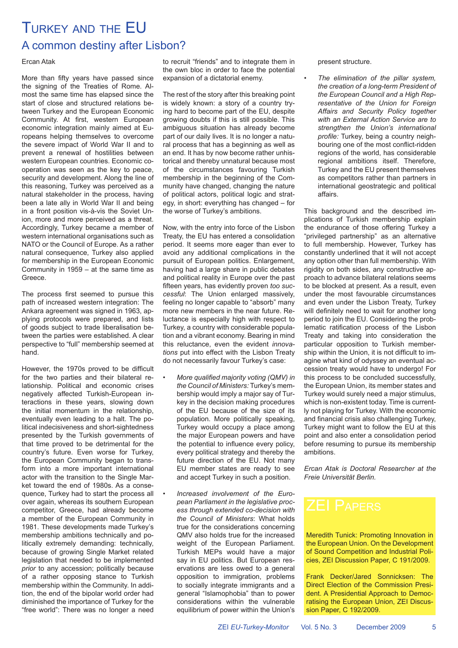### TURKEY AND THE EU A common destiny after Lisbon?

### Ercan Atak

More than fifty years have passed since the signing of the Treaties of Rome. Almost the same time has elapsed since the start of close and structured relations between Turkey and the European Economic Community. At first, western European economic integration mainly aimed at Europeans helping themselves to overcome the severe impact of World War II and to prevent a renewal of hostilities between western European countries. Economic cooperation was seen as the key to peace, security and development. Along the line of this reasoning, Turkey was perceived as a natural stakeholder in the process, having been a late ally in World War II and being in a front position vis-à-vis the Soviet Union, more and more perceived as a threat. Accordingly, Turkey became a member of western international organisations such as NATO or the Council of Europe. As a rather natural consequence, Turkey also applied for membership in the European Economic Community in 1959 – at the same time as Greece

The process first seemed to pursue this path of increased western integration: The Ankara agreement was signed in 1963, applying protocols were prepared, and lists of goods subject to trade liberalisation between the parties were established. A clear perspective to "full" membership seemed at hand.

However, the 1970s proved to be difficult for the two parties and their bilateral relationship. Political and economic crises negatively affected Turkish-European interactions in these years, slowing down the initial momentum in the relationship, eventually even leading to a halt. The political indecisiveness and short-sightedness presented by the Turkish governments of that time proved to be detrimental for the country's future. Even worse for Turkey, the European Community began to transform into a more important international actor with the transition to the Single Market toward the end of 1980s. As a consequence, Turkey had to start the process all over again, whereas its southern European competitor, Greece, had already become a member of the European Community in 1981. These developments made Turkey's membership ambitions technically and politically extremely demanding: technically, because of growing Single Market related legislation that needed to be implemented *prior* to any accession; politically because of a rather opposing stance to Turkish membership within the Community. In addition, the end of the bipolar world order had diminished the importance of Turkey for the "free world": There was no longer a need

to recruit "friends" and to integrate them in the own bloc in order to face the potential expansion of a dictatorial enemy.

The rest of the story after this breaking point is widely known: a story of a country trying hard to become part of the EU, despite growing doubts if this is still possible. This ambiguous situation has already become part of our daily lives. It is no longer a natural process that has a beginning as well as an end. It has by now become rather unhistorical and thereby unnatural because most of the circumstances favouring Turkish membership in the beginning of the Community have changed, changing the nature of political actors, political logic and strategy, in short: everything has changed – for the worse of Turkey's ambitions.

Now, with the entry into force of the Lisbon Treaty, the EU has entered a consolidation period. It seems more eager than ever to avoid any additional complications in the pursuit of European politics. Enlargement, having had a large share in public debates and political reality in Europe over the past fifteen years, has evidently proven *too successful*: The Union enlarged massively, feeling no longer capable to "absorb" many more new members in the near future. Reluctance is especially high with respect to Turkey, a country with considerable population and a vibrant economy. Bearing in mind this reluctance, even the evident *innovations* put into effect with the Lisbon Treaty do not necessarily favour Turkey's case:

- *More qualified majority voting (QMV) in the Council of Ministers:* Turkey's membership would imply a major say of Turkey in the decision making procedures of the EU because of the size of its population. More politically speaking, Turkey would occupy a place among the major European powers and have the potential to influence every policy. every political strategy and thereby the future direction of the EU. Not many EU member states are ready to see and accept Turkey in such a position.
- *Increased involvement of the European Parliament in the legislative process through extended co-decision with the Council of Ministers*: What holds true for the considerations concerning QMV also holds true for the increased weight of the European Parliament. Turkish MEPs would have a major say in EU politics. But European reservations are less owed to a general opposition to immigration, problems to socially integrate immigrants and a general "Islamophobia" than to power considerations within the vulnerable equilibrium of power within the Union's

present structure.

*• The elimination of the pillar system, the creation of a long-term President of the European Council and a High Representative of the Union for Foreign Affairs and Security Policy together with an External Action Service are to strengthen the Union's international profile:* Turkey, being a country neighbouring one of the most conflict-ridden regions of the world, has considerable regional ambitions itself. Therefore, Turkey and the EU present themselves as competitors rather than partners in international geostrategic and political affairs.

This background and the described implications of Turkish membership explain the endurance of those offering Turkey a "privileged partnership" as an alternative to full membership. However, Turkey has constantly underlined that it will not accept any option other than full membership. With rigidity on both sides, any constructive approach to advance bilateral relations seems to be blocked at present. As a result, even under the most favourable circumstances and even under the Lisbon Treaty, Turkey will definitely need to wait for another long period to join the EU. Considering the problematic ratification process of the Lisbon Treaty and taking into consideration the particular opposition to Turkish membership within the Union, it is not difficult to imagine what kind of odyssey an eventual accession treaty would have to undergo! For this process to be concluded successfully, the European Union, its member states and Turkey would surely need a major stimulus, which is non-existent today. Time is currently not playing for Turkey. With the economic and financial crisis also challenging Turkey, Turkey might want to follow the EU at this point and also enter a consolidation period before resuming to pursue its membership ambitions.

*Ercan Atak is Doctoral Researcher at the Freie Universität Berlin.*

Meredith Tunick: Promoting Innovation in the European Union. On the Development of Sound Competition and Industrial Policies, ZEI Discussion Paper, C 191/2009.

Frank Decker/Jared Sonnicksen: The Direct Election of the Commission President. A Presidential Approach to Democratising the European Union, ZEI Discussion Paper, C 192/2009.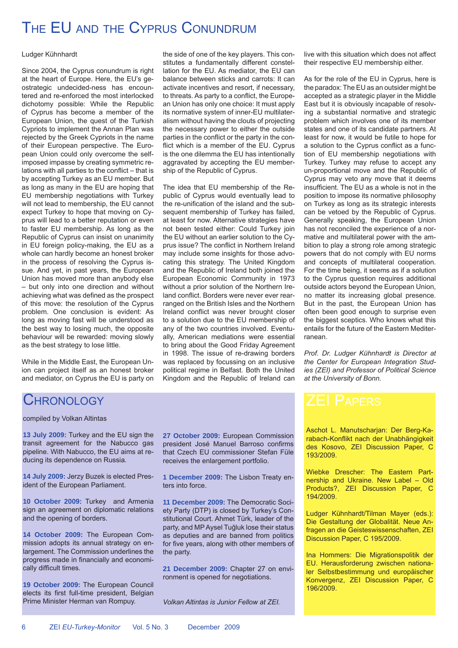# THE EU AND THE CYPRUS CONUNDRUM

### Ludger Kühnhardt

Since 2004, the Cyprus conundrum is right at the heart of Europe. Here, the EU's geostrategic undecided-ness has encountered and re-enforced the most interlocked dichotomy possible: While the Republic of Cyprus has become a member of the European Union, the quest of the Turkish Cypriots to implement the Annan Plan was rejected by the Greek Cypriots in the name of their European perspective. The European Union could only overcome the selfimposed impasse by creating symmetric relations with all parties to the conflict  $-$  that is by accepting Turkey as an EU member. But as long as many in the EU are hoping that EU membership negotiations with Turkey will not lead to membership, the EU cannot expect Turkey to hope that moving on Cyprus will lead to a better reputation or even to faster EU membership. As long as the Republic of Cyprus can insist on unanimity in EU foreign policy-making, the EU as a whole can hardly become an honest broker in the process of resolving the Cyprus issue. And yet, in past years, the European Union has moved more than anybody else – but only into one direction and without achieving what was defined as the prospect of this move: the resolution of the Cyprus problem. One conclusion is evident: As long as moving fast will be understood as the best way to losing much, the opposite behaviour will be rewarded: moving slowly as the best strategy to lose little.

While in the Middle East, the European Union can project itself as an honest broker and mediator, on Cyprus the EU is party on the side of one of the key players. This constitutes a fundamentally different constellation for the EU. As mediator, the EU can balance between sticks and carrots: It can activate incentives and resort, if necessary, to threats. As party to a conflict, the European Union has only one choice: It must apply its normative system of inner-EU multilateralism without having the clouts of projecting the necessary power to either the outside parties in the conflict or the party in the conflict which is a member of the EU. Cyprus is the one dilemma the EU has intentionally aggravated by accepting the EU membership of the Republic of Cyprus.

The idea that EU membership of the Republic of Cyprus would eventually lead to the re-unification of the island and the subsequent membership of Turkey has failed, at least for now. Alternative strategies have not been tested either: Could Turkey join the EU without an earlier solution to the Cyprus issue? The conflict in Northern Ireland may include some insights for those advocating this strategy. The United Kingdom and the Republic of Ireland both joined the European Economic Community in 1973 without a prior solution of the Northern Ireland conflict. Borders were never ever rearranged on the British Isles and the Northern Ireland conflict was never brought closer to a solution due to the EU membership of any of the two countries involved. Eventually, American mediations were essential to bring about the Good Friday Agreement in 1998. The issue of re-drawing borders was replaced by focussing on an inclusive political regime in Belfast. Both the United Kingdom and the Republic of Ireland can live with this situation which does not affect their respective EU membership either.

As for the role of the EU in Cyprus, here is the paradox: The EU as an outsider might be accepted as a strategic player in the Middle East but it is obviously incapable of resolving a substantial normative and strategic problem which involves one of its member states and one of its candidate partners. At least for now, it would be futile to hope for a solution to the Cyprus conflict as a function of EU membership negotiations with Turkey. Turkey may refuse to accept any un-proportional move and the Republic of Cyprus may veto any move that it deems insufficient. The EU as a whole is not in the position to impose its normative philosophy on Turkey as long as its strategic interests can be vetoed by the Republic of Cyprus. Generally speaking, the European Union has not reconciled the experience of a normative and multilateral power with the ambition to play a strong role among strategic powers that do not comply with EU norms and concepts of multilateral cooperation. For the time being, it seems as if a solution to the Cyprus question requires additional outside actors beyond the European Union, no matter its increasing global presence. But in the past, the European Union has often been good enough to surprise even the biggest sceptics. Who knows what this entails for the future of the Eastern Mediterranean.

*Prof. Dr. Ludger Kühnhardt is Director at the Center for European Integration Studies (ZEI) and Professor of Political Science at the University of Bonn.*

### **CHRONOLOGY**

compiled by Volkan Altintas

**13 July 2009:** Turkey and the EU sign the transit agreement for the Nabucco gas pipeline. With Nabucco, the EU aims at reducing its dependence on Russia.

**14 July 2009:** Jerzy Buzek is elected President of the European Parliament.

**10 October 2009:** Turkey and Armenia sign an agreement on diplomatic relations and the opening of borders.

**14 October 2009:** The European Commission adopts its annual strategy on enlargement. The Commission underlines the progress made in financially and economically difficult times.

**19 October 2009:** The European Council elects its first full-time president, Belgian Prime Minister Herman van Rompuy.

**27 October 2009:** European Commission president José Manuel Barroso confirms that Czech EU commissioner Stefan Füle receives the enlargement portfolio.

**1 December 2009:** The Lisbon Treaty enters into force.

**11 December 2009:** The Democratic Society Party (DTP) is closed by Turkey's Constitutional Court. Ahmet Türk, leader of the party, and MP Aysel Tuğluk lose their status as deputies and are banned from politics for five years, along with other members of the party.

**21 December 2009:** Chapter 27 on environment is opened for negotiations.

*Volkan Altintas is Junior Fellow at ZEI.*

Aschot L. Manutscharjan: Der Berg-Karabach-Konflikt nach der Unabhängigkeit des Kosovo, ZEI Discussion Paper, C 193/2009.

Wiebke Drescher: The Eastern Partnership and Ukraine. New Label – Old Products?, ZEI Discussion Paper, C 194/2009.

Ludger Kühnhardt/Tilman Mayer (eds.): Die Gestaltung der Globalität. Neue Anfragen an die Geisteswissenschaften, ZEI Discussion Paper, C 195/2009.

Ina Hommers: Die Migrationspolitik der EU. Herausforderung zwischen nationaler Selbstbestimmung und europäischer Konvergenz, ZEI Discussion Paper, C 196/2009.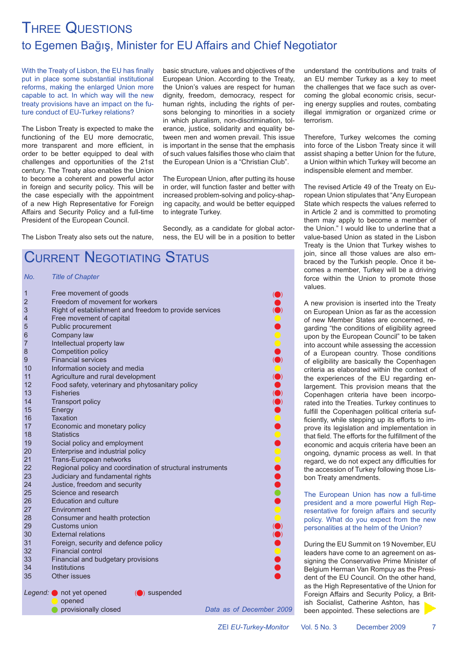## **THREE QUESTIONS** to Egemen Bağış, Minister for EU Affairs and Chief Negotiator

With the Treaty of Lisbon, the EU has finally put in place some substantial institutional reforms, making the enlarged Union more capable to act. In which way will the new treaty provisions have an impact on the future conduct of EU-Turkey relations?

The Lisbon Treaty is expected to make the functioning of the EU more democratic, more transparent and more efficient, in order to be better equipped to deal with challenges and opportunities of the 21st century. The Treaty also enables the Union to become a coherent and powerful actor in foreign and security policy. This will be the case especially with the appointment of a new High Representative for Foreign Affairs and Security Policy and a full-time President of the European Council.

The Lisbon Treaty also sets out the nature,

#### basic structure, values and objectives of the European Union. According to the Treaty, the Union's values are respect for human dignity, freedom, democracy, respect for human rights, including the rights of persons belonging to minorities in a society in which pluralism, non-discrimination, tolerance, justice, solidarity and equality between men and women prevail. This issue is important in the sense that the emphasis of such values falsifies those who claim that the European Union is a "Christian Club".

The European Union, after putting its house in order, will function faster and better with increased problem-solving and policy-shaping capacity, and would be better equipped to integrate Turkey.

Secondly, as a candidate for global actorness, the EU will be in a position to better

### CURRENT NEGOTIATING STATUS

#### *No. Title of Chapter*

| 1              | Free movement of goods                                     |                          |
|----------------|------------------------------------------------------------|--------------------------|
| $\overline{2}$ | Freedom of movement for workers                            |                          |
| 3              | Right of establishment and freedom to provide services     |                          |
| 4              | Free movement of capital                                   |                          |
| 5              | Public procurement                                         |                          |
| 6              | Company law                                                |                          |
| 7              | Intellectual property law                                  |                          |
| 8              | Competition policy                                         |                          |
| 9              | <b>Financial services</b>                                  |                          |
| 10             | Information society and media                              |                          |
| 11             | Agriculture and rural development                          |                          |
| 12             | Food safety, veterinary and phytosanitary policy           |                          |
| 13             | <b>Fisheries</b>                                           |                          |
| 14             | <b>Transport policy</b>                                    | <b>OCCOOOOOOOOO</b>      |
| 15             | Energy                                                     |                          |
| 16             | <b>Taxation</b>                                            |                          |
| 17             | Economic and monetary policy                               |                          |
| 18             | <b>Statistics</b>                                          |                          |
| 19             | Social policy and employment                               |                          |
| 20             | Enterprise and industrial policy                           |                          |
| 21             | Trans-European networks                                    |                          |
| 22             | Regional policy and coordination of structural instruments |                          |
| 23             | Judiciary and fundamental rights                           |                          |
| 24             | Justice, freedom and security                              |                          |
| 25             | Science and research                                       |                          |
| 26             | <b>Education and culture</b>                               |                          |
| 27             | Environment                                                |                          |
| 28             | Consumer and health protection                             |                          |
| 29             | Customs union                                              |                          |
| 30             | <b>External relations</b>                                  |                          |
| 31             | Foreign, security and defence policy                       |                          |
| 32             | <b>Financial control</b>                                   |                          |
| 33             | Financial and budgetary provisions                         |                          |
| 34             | Institutions                                               |                          |
| 35             | Other issues                                               |                          |
|                | Legend: not yet opened<br>(O) suspended                    |                          |
|                | opened                                                     |                          |
|                | provisionally closed                                       | Data as of December 2009 |
|                |                                                            |                          |

understand the contributions and traits of an EU member Turkey as a key to meet the challenges that we face such as overcoming the global economic crisis, securing energy supplies and routes, combating illegal immigration or organized crime or terrorism.

Therefore, Turkey welcomes the coming into force of the Lisbon Treaty since it will assist shaping a better Union for the future, a Union within which Turkey will become an indispensible element and member.

The revised Article 49 of the Treaty on European Union stipulates that "Any European State which respects the values referred to in Article 2 and is committed to promoting them may apply to become a member of the Union." I would like to underline that a value-based Union as stated in the Lisbon Treaty is the Union that Turkey wishes to join, since all those values are also embraced by the Turkish people. Once it becomes a member, Turkey will be a driving force within the Union to promote those values.

A new provision is inserted into the Treaty on European Union as far as the accession of new Member States are concerned, regarding "the conditions of eligibility agreed upon by the European Council" to be taken into account while assessing the accession of a European country. Those conditions of eligibility are basically the Copenhagen criteria as elaborated within the context of the experiences of the EU regarding enlargement. This provision means that the Copenhagen criteria have been incorporated into the Treaties. Turkey continues to fulfill the Copenhagen political criteria sufficiently, while stepping up its efforts to improve its legislation and implementation in that field. The efforts for the fulfillment of the economic and acquis criteria have been an ongoing, dynamic process as well. In that regard, we do not expect any difficulties for the accession of Turkey following those Lisbon Treaty amendments.

The European Union has now a full-time president and a more powerful High Representative for foreign affairs and security policy. What do you expect from the new personalities at the helm of the Union?

During the EU Summit on 19 November, EU leaders have come to an agreement on assigning the Conservative Prime Minister of Belgium Herman Van Rompuy as the President of the EU Council. On the other hand, as the High Representative of the Union for Foreign Affairs and Security Policy, a British Socialist, Catherine Ashton, has

been appointed. These selections are